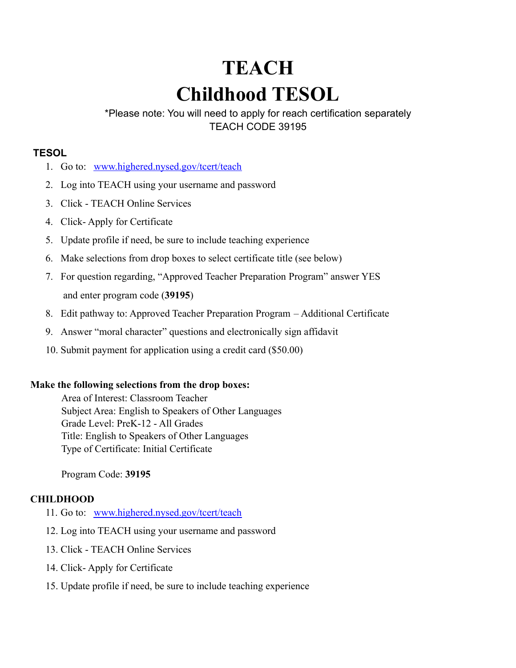# **TEACH Childhood TESOL**

\*Please note: You will need to apply for reach certification separately TEACH CODE 39195

## **TESOL**

- 1. Go to: [www.highered.nysed.gov/tcert/teach](http://www.highered.nysed.gov/tcert/teach)
- 2. Log into TEACH using your username and password
- 3. Click TEACH Online Services
- 4. Click- Apply for Certificate
- 5. Update profile if need, be sure to include teaching experience
- 6. Make selections from drop boxes to select certificate title (see below)
- 7. For question regarding, "Approved Teacher Preparation Program" answer YES and enter program code (**39195**)
- 8. Edit pathway to: Approved Teacher Preparation Program Additional Certificate
- 9. Answer "moral character" questions and electronically sign affidavit
- 10. Submit payment for application using a credit card (\$50.00)

### **Make the following selections from the drop boxes:**

Area of Interest: Classroom Teacher Subject Area: English to Speakers of Other Languages Grade Level: PreK-12 - All Grades Title: English to Speakers of Other Languages Type of Certificate: Initial Certificate

# Program Code: **39195**

### **CHILDHOOD**

- 11. Go to: [www.highered.nysed.gov/tcert/teach](http://www.highered.nysed.gov/tcert/teach)
- 12. Log into TEACH using your username and password
- 13. Click TEACH Online Services
- 14. Click- Apply for Certificate
- 15. Update profile if need, be sure to include teaching experience